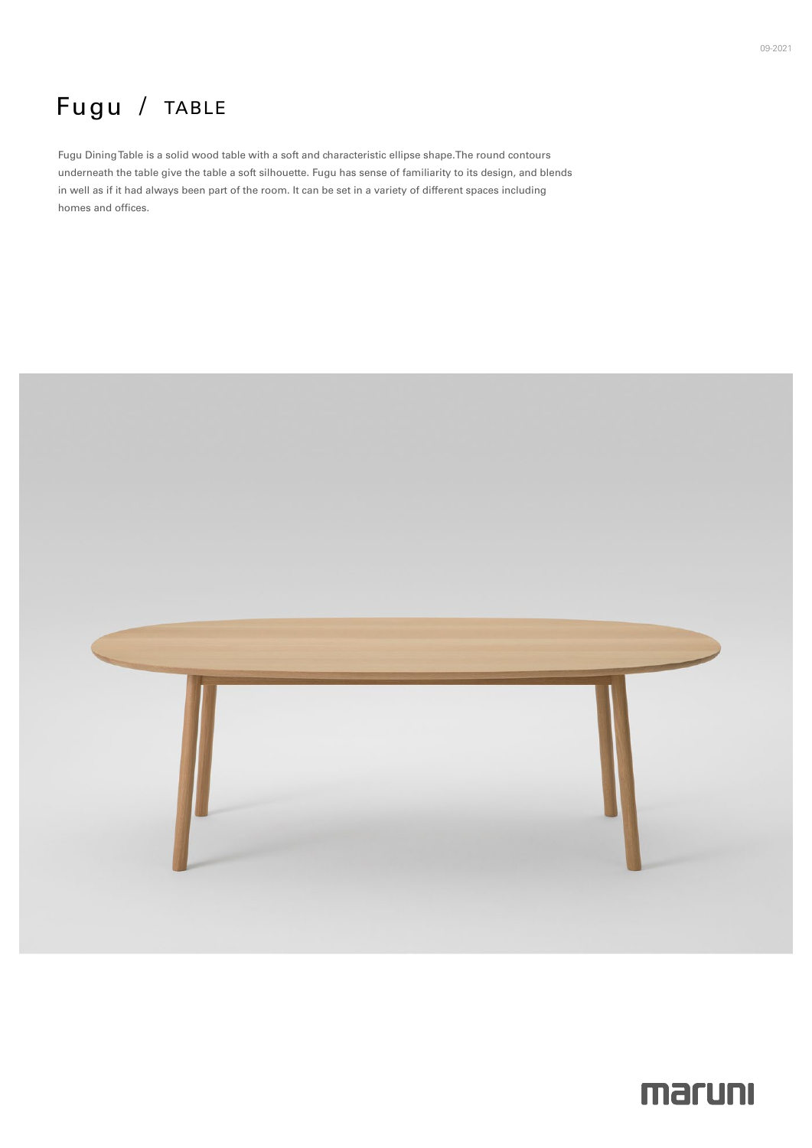# Fugu / TABLE

Fugu Dining Table is a solid wood table with a soft and characteristic ellipse shape. The round contours underneath the table give the table a soft silhouette. Fugu has sense of familiarity to its design, and blends in well as if it had always been part of the room. It can be set in a variety of different spaces including homes and offices.



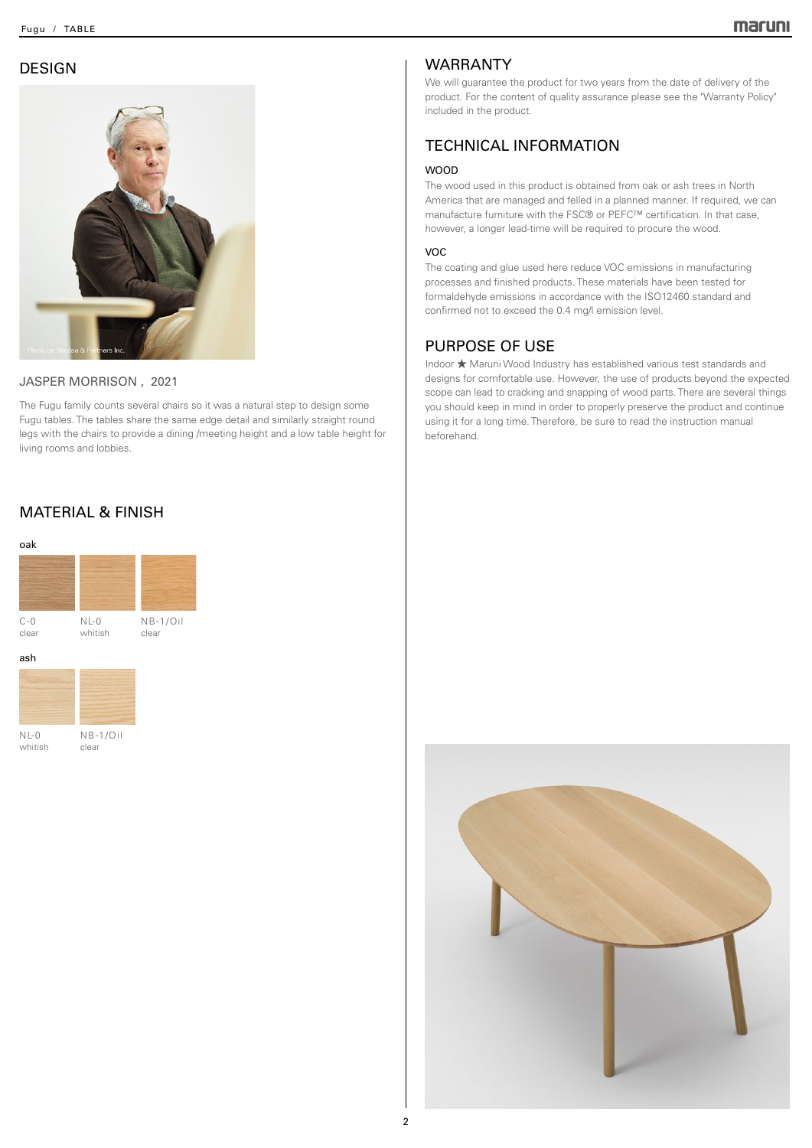## DESIGN



#### JASPER MORRISON, 2021

The Fugu family counts several chairs so it was a natural step to design some Fugu tables. The tables share the same edge detail and similarly straight round legs with the chairs to provide a dining / meeting height and a low table height for living rooms and lobbies.

## **MATERIAL & FINISH**



clear

 $NL-0$ whitish

## WARRANTY

We will guarantee the product for two years from the date of delivery of the product. For the content of quality assurance please see the "Warranty Policy" included in the product.

#### **TECHNICAL INFORMATION**

#### WOOD

The wood used in this product is obtained from oak or ash trees in North America that are managed and felled in a planned manner. If required, we can manufacture furniture with the FSC® or PEFC™ certification. In that case, however, a longer lead-time will be required to procure the wood.

#### VOC

The coating and glue used here reduce VOC emissions in manufacturing processes and finished products. These materials have been tested for formaldehyde emissions in accordance with the ISO12460 standard and confirmed not to exceed the 0.4 mg/l emission level.

#### PURPOSE OF USE

Indoor ★ Maruni Wood Industry has established various test standards and designs for comfortable use. However, the use of products beyond the expected scope can lead to cracking and snapping of wood parts. There are several things you should keep in mind in order to properly preserve the product and continue using it for a long time. Therefore, be sure to read the instruction manual .beforehand